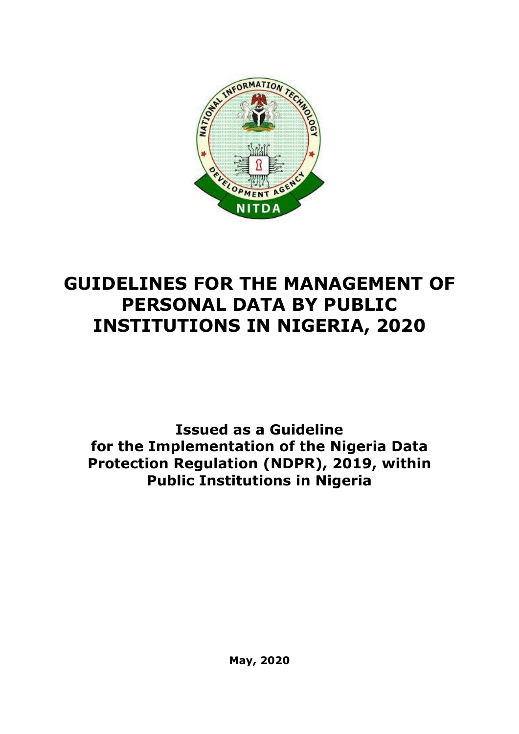

# **GUIDELINES FOR THE MANAGEMENT OF PERSONAL DATA BY PUBLIC INSTITUTIONS IN NIGERIA, 2020**

**Issued as a Guideline for the Implementation of the Nigeria Data Protection Regulation (NDPR), 2019, within Public Institutions in Nigeria**

**May, 2020**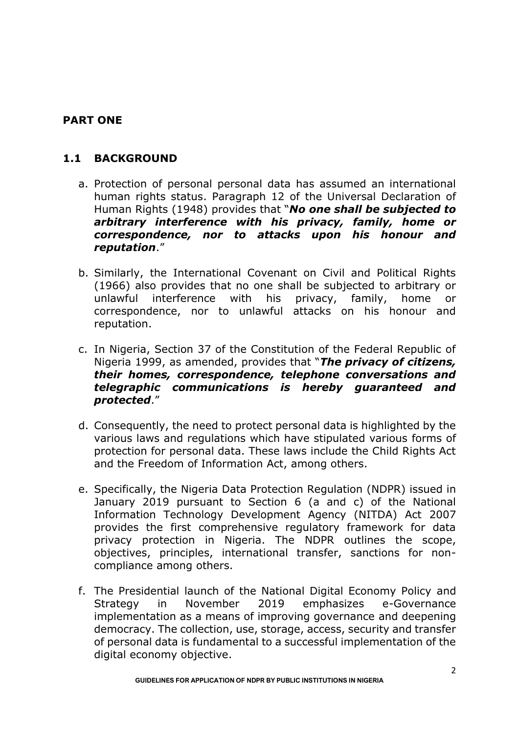# **PART ONE**

# **1.1 BACKGROUND**

- a. Protection of personal personal data has assumed an international human rights status. Paragraph 12 of the Universal Declaration of Human Rights (1948) provides that "*No one shall be subjected to arbitrary interference with his privacy, family, home or correspondence, nor to attacks upon his honour and reputation*."
- b. Similarly, the International Covenant on Civil and Political Rights (1966) also provides that no one shall be subjected to arbitrary or unlawful interference with his privacy, family, home or correspondence, nor to unlawful attacks on his honour and reputation.
- c. In Nigeria, Section 37 of the Constitution of the Federal Republic of Nigeria 1999, as amended, provides that "*The privacy of citizens, their homes, correspondence, telephone conversations and telegraphic communications is hereby guaranteed and protected*."
- d. Consequently, the need to protect personal data is highlighted by the various laws and regulations which have stipulated various forms of protection for personal data. These laws include the Child Rights Act and the Freedom of Information Act, among others.
- e. Specifically, the Nigeria Data Protection Regulation (NDPR) issued in January 2019 pursuant to Section 6 (a and c) of the National Information Technology Development Agency (NITDA) Act 2007 provides the first comprehensive regulatory framework for data privacy protection in Nigeria. The NDPR outlines the scope, objectives, principles, international transfer, sanctions for noncompliance among others.
- f. The Presidential launch of the National Digital Economy Policy and Strategy in November 2019 emphasizes e-Governance implementation as a means of improving governance and deepening democracy. The collection, use, storage, access, security and transfer of personal data is fundamental to a successful implementation of the digital economy objective.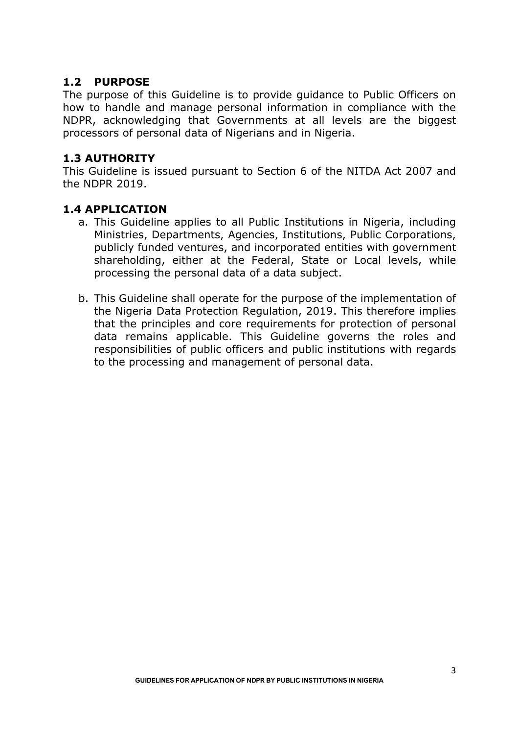### **1.2 PURPOSE**

The purpose of this Guideline is to provide guidance to Public Officers on how to handle and manage personal information in compliance with the NDPR, acknowledging that Governments at all levels are the biggest processors of personal data of Nigerians and in Nigeria.

### **1.3 AUTHORITY**

This Guideline is issued pursuant to Section 6 of the NITDA Act 2007 and the NDPR 2019.

#### **1.4 APPLICATION**

- a. This Guideline applies to all Public Institutions in Nigeria, including Ministries, Departments, Agencies, Institutions, Public Corporations, publicly funded ventures, and incorporated entities with government shareholding, either at the Federal, State or Local levels, while processing the personal data of a data subject.
- b. This Guideline shall operate for the purpose of the implementation of the Nigeria Data Protection Regulation, 2019. This therefore implies that the principles and core requirements for protection of personal data remains applicable. This Guideline governs the roles and responsibilities of public officers and public institutions with regards to the processing and management of personal data.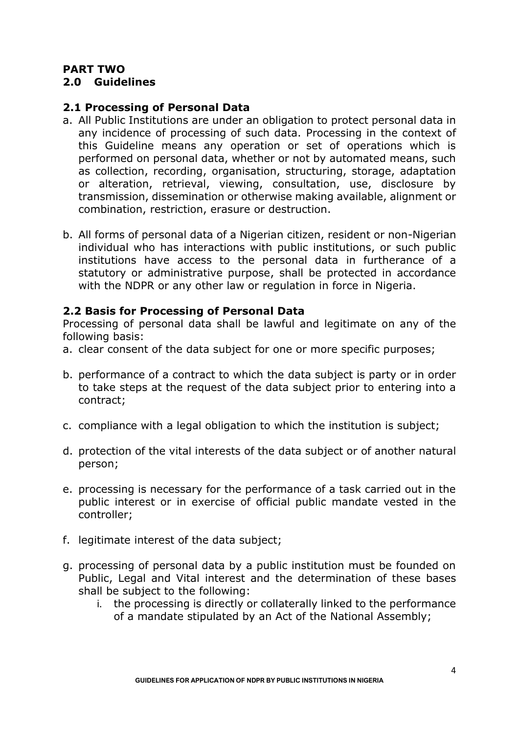# **PART TWO**

### **2.0 Guidelines**

# **2.1 Processing of Personal Data**

- a. All Public Institutions are under an obligation to protect personal data in any incidence of processing of such data. Processing in the context of this Guideline means any operation or set of operations which is performed on personal data, whether or not by automated means, such as collection, recording, organisation, structuring, storage, adaptation or alteration, retrieval, viewing, consultation, use, disclosure by transmission, dissemination or otherwise making available, alignment or combination, restriction, erasure or destruction.
- b. All forms of personal data of a Nigerian citizen, resident or non-Nigerian individual who has interactions with public institutions, or such public institutions have access to the personal data in furtherance of a statutory or administrative purpose, shall be protected in accordance with the NDPR or any other law or regulation in force in Nigeria.

### **2.2 Basis for Processing of Personal Data**

Processing of personal data shall be lawful and legitimate on any of the following basis:

- a. clear consent of the data subject for one or more specific purposes;
- b. performance of a contract to which the data subject is party or in order to take steps at the request of the data subject prior to entering into a contract;
- c. compliance with a legal obligation to which the institution is subject;
- d. protection of the vital interests of the data subject or of another natural person;
- e. processing is necessary for the performance of a task carried out in the public interest or in exercise of official public mandate vested in the controller;
- f. legitimate interest of the data subject;
- g. processing of personal data by a public institution must be founded on Public, Legal and Vital interest and the determination of these bases shall be subject to the following:
	- i. the processing is directly or collaterally linked to the performance of a mandate stipulated by an Act of the National Assembly;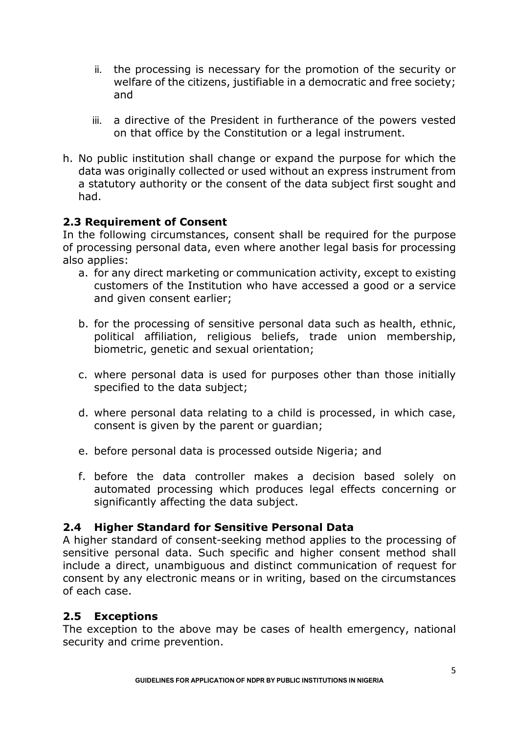- ii. the processing is necessary for the promotion of the security or welfare of the citizens, justifiable in a democratic and free society; and
- iii. a directive of the President in furtherance of the powers vested on that office by the Constitution or a legal instrument.
- h. No public institution shall change or expand the purpose for which the data was originally collected or used without an express instrument from a statutory authority or the consent of the data subject first sought and had.

# **2.3 Requirement of Consent**

In the following circumstances, consent shall be required for the purpose of processing personal data, even where another legal basis for processing also applies:

- a. for any direct marketing or communication activity, except to existing customers of the Institution who have accessed a good or a service and given consent earlier;
- b. for the processing of sensitive personal data such as health, ethnic, political affiliation, religious beliefs, trade union membership, biometric, genetic and sexual orientation;
- c. where personal data is used for purposes other than those initially specified to the data subject;
- d. where personal data relating to a child is processed, in which case, consent is given by the parent or guardian;
- e. before personal data is processed outside Nigeria; and
- f. before the data controller makes a decision based solely on automated processing which produces legal effects concerning or significantly affecting the data subject.

# **2.4 Higher Standard for Sensitive Personal Data**

A higher standard of consent-seeking method applies to the processing of sensitive personal data. Such specific and higher consent method shall include a direct, unambiguous and distinct communication of request for consent by any electronic means or in writing, based on the circumstances of each case.

# **2.5 Exceptions**

The exception to the above may be cases of health emergency, national security and crime prevention.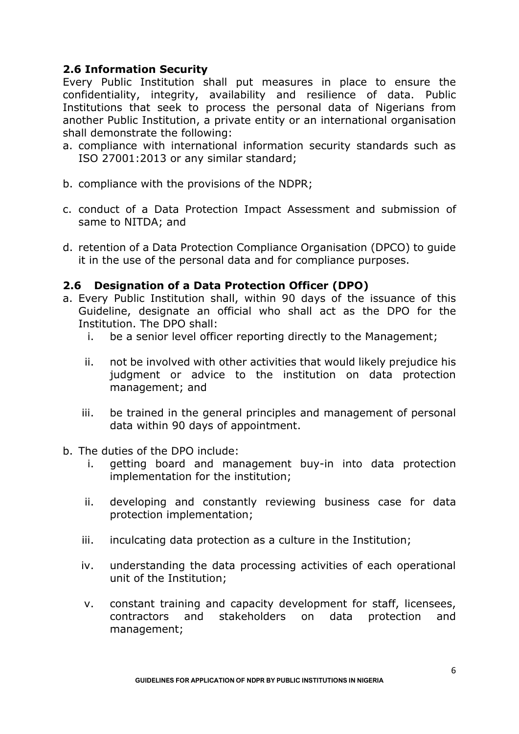# **2.6 Information Security**

Every Public Institution shall put measures in place to ensure the confidentiality, integrity, availability and resilience of data. Public Institutions that seek to process the personal data of Nigerians from another Public Institution, a private entity or an international organisation shall demonstrate the following:

- a. compliance with international information security standards such as ISO 27001:2013 or any similar standard;
- b. compliance with the provisions of the NDPR;
- c. conduct of a Data Protection Impact Assessment and submission of same to NITDA; and
- d. retention of a Data Protection Compliance Organisation (DPCO) to guide it in the use of the personal data and for compliance purposes.

#### **2.6 Designation of a Data Protection Officer (DPO)**

- a. Every Public Institution shall, within 90 days of the issuance of this Guideline, designate an official who shall act as the DPO for the Institution. The DPO shall:
	- i. be a senior level officer reporting directly to the Management;
	- ii. not be involved with other activities that would likely prejudice his judgment or advice to the institution on data protection management; and
	- iii. be trained in the general principles and management of personal data within 90 days of appointment.
- b. The duties of the DPO include:
	- i. getting board and management buy-in into data protection implementation for the institution;
	- ii. developing and constantly reviewing business case for data protection implementation;
	- iii. inculcating data protection as a culture in the Institution;
	- iv. understanding the data processing activities of each operational unit of the Institution;
	- v. constant training and capacity development for staff, licensees, contractors and stakeholders on data protection and management;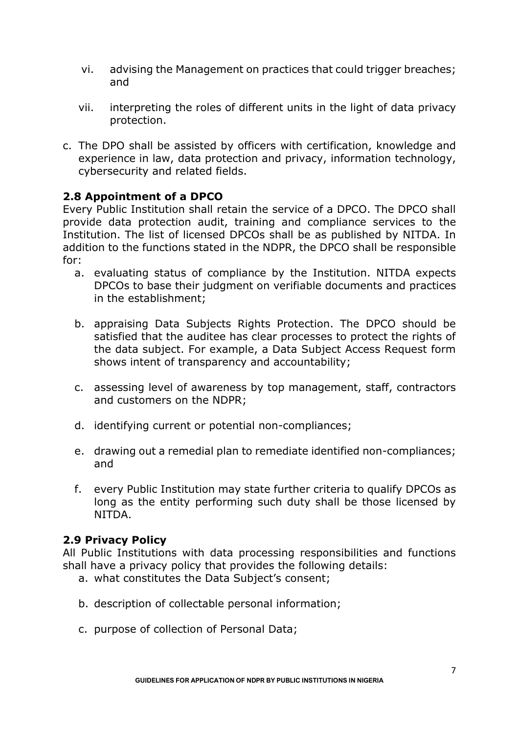- vi. advising the Management on practices that could trigger breaches; and
- vii. interpreting the roles of different units in the light of data privacy protection.
- c. The DPO shall be assisted by officers with certification, knowledge and experience in law, data protection and privacy, information technology, cybersecurity and related fields.

### **2.8 Appointment of a DPCO**

Every Public Institution shall retain the service of a DPCO. The DPCO shall provide data protection audit, training and compliance services to the Institution. The list of licensed DPCOs shall be as published by NITDA. In addition to the functions stated in the NDPR, the DPCO shall be responsible for:

- a. evaluating status of compliance by the Institution. NITDA expects DPCOs to base their judgment on verifiable documents and practices in the establishment;
- b. appraising Data Subjects Rights Protection. The DPCO should be satisfied that the auditee has clear processes to protect the rights of the data subject. For example, a Data Subject Access Request form shows intent of transparency and accountability;
- c. assessing level of awareness by top management, staff, contractors and customers on the NDPR;
- d. identifying current or potential non-compliances;
- e. drawing out a remedial plan to remediate identified non-compliances; and
- f. every Public Institution may state further criteria to qualify DPCOs as long as the entity performing such duty shall be those licensed by NITDA.

#### **2.9 Privacy Policy**

All Public Institutions with data processing responsibilities and functions shall have a privacy policy that provides the following details:

- a. what constitutes the Data Subject's consent;
- b. description of collectable personal information;
- c. purpose of collection of Personal Data;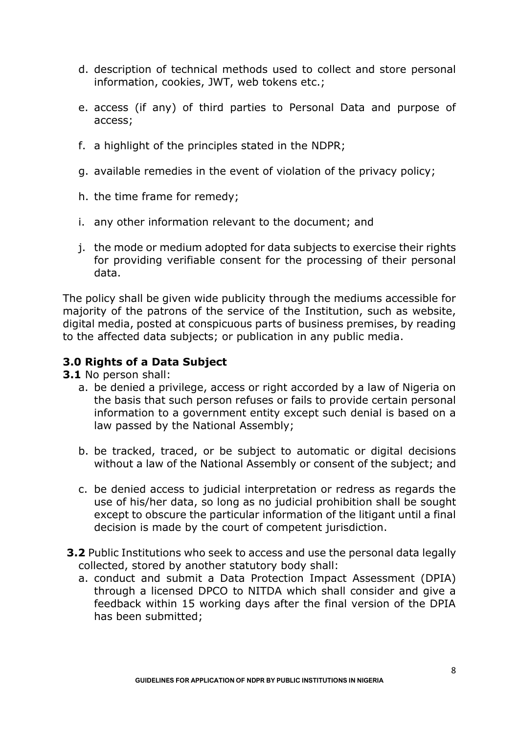- d. description of technical methods used to collect and store personal information, cookies, JWT, web tokens etc.;
- e. access (if any) of third parties to Personal Data and purpose of access;
- f. a highlight of the principles stated in the NDPR;
- g. available remedies in the event of violation of the privacy policy;
- h. the time frame for remedy;
- i. any other information relevant to the document; and
- j. the mode or medium adopted for data subjects to exercise their rights for providing verifiable consent for the processing of their personal data.

The policy shall be given wide publicity through the mediums accessible for majority of the patrons of the service of the Institution, such as website, digital media, posted at conspicuous parts of business premises, by reading to the affected data subjects; or publication in any public media.

# **3.0 Rights of a Data Subject**

- **3.1** No person shall:
	- a. be denied a privilege, access or right accorded by a law of Nigeria on the basis that such person refuses or fails to provide certain personal information to a government entity except such denial is based on a law passed by the National Assembly;
	- b. be tracked, traced, or be subject to automatic or digital decisions without a law of the National Assembly or consent of the subject; and
	- c. be denied access to judicial interpretation or redress as regards the use of his/her data, so long as no judicial prohibition shall be sought except to obscure the particular information of the litigant until a final decision is made by the court of competent jurisdiction.
- **3.2** Public Institutions who seek to access and use the personal data legally collected, stored by another statutory body shall:
	- a. conduct and submit a Data Protection Impact Assessment (DPIA) through a licensed DPCO to NITDA which shall consider and give a feedback within 15 working days after the final version of the DPIA has been submitted;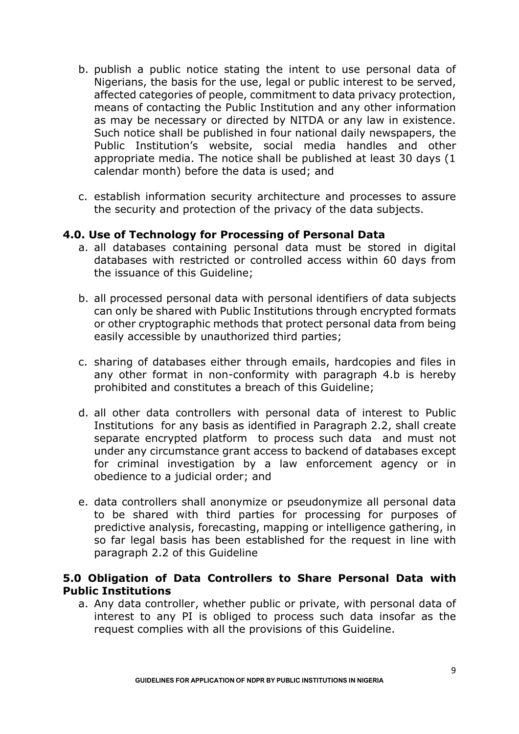- b. publish a public notice stating the intent to use personal data of Nigerians, the basis for the use, legal or public interest to be served, affected categories of people, commitment to data privacy protection, means of contacting the Public Institution and any other information as may be necessary or directed by NITDA or any law in existence. Such notice shall be published in four national daily newspapers, the Public Institution's website, social media handles and other appropriate media. The notice shall be published at least 30 days (1 calendar month) before the data is used; and
- c. establish information security architecture and processes to assure the security and protection of the privacy of the data subjects.

#### **4.0. Use of Technology for Processing of Personal Data**

- a. all databases containing personal data must be stored in digital databases with restricted or controlled access within 60 days from the issuance of this Guideline;
- b. all processed personal data with personal identifiers of data subjects can only be shared with Public Institutions through encrypted formats or other cryptographic methods that protect personal data from being easily accessible by unauthorized third parties;
- c. sharing of databases either through emails, hardcopies and files in any other format in non-conformity with paragraph 4.b is hereby prohibited and constitutes a breach of this Guideline;
- d. all other data controllers with personal data of interest to Public Institutions for any basis as identified in Paragraph 2.2, shall create separate encrypted platform to process such data and must not under any circumstance grant access to backend of databases except for criminal investigation by a law enforcement agency or in obedience to a judicial order; and
- e. data controllers shall anonymize or pseudonymize all personal data to be shared with third parties for processing for purposes of predictive analysis, forecasting, mapping or intelligence gathering, in so far legal basis has been established for the request in line with paragraph 2.2 of this Guideline

### **5.0 Obligation of Data Controllers to Share Personal Data with Public Institutions**

a. Any data controller, whether public or private, with personal data of interest to any PI is obliged to process such data insofar as the request complies with all the provisions of this Guideline.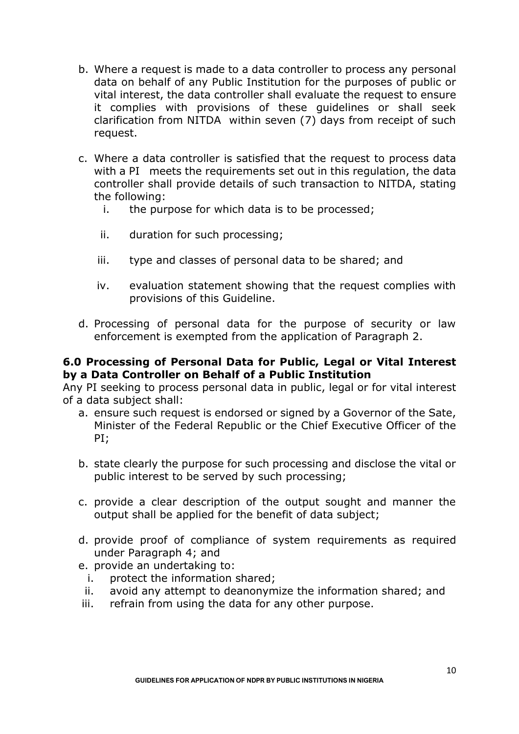- b. Where a request is made to a data controller to process any personal data on behalf of any Public Institution for the purposes of public or vital interest, the data controller shall evaluate the request to ensure it complies with provisions of these guidelines or shall seek clarification from NITDA within seven (7) days from receipt of such request.
- c. Where a data controller is satisfied that the request to process data with a PI meets the requirements set out in this requiation, the data controller shall provide details of such transaction to NITDA, stating the following:
	- i. the purpose for which data is to be processed;
	- ii. duration for such processing;
	- iii. type and classes of personal data to be shared; and
	- iv. evaluation statement showing that the request complies with provisions of this Guideline.
- d. Processing of personal data for the purpose of security or law enforcement is exempted from the application of Paragraph 2.

#### **6.0 Processing of Personal Data for Public, Legal or Vital Interest by a Data Controller on Behalf of a Public Institution**

Any PI seeking to process personal data in public, legal or for vital interest of a data subject shall:

- a. ensure such request is endorsed or signed by a Governor of the Sate, Minister of the Federal Republic or the Chief Executive Officer of the PI;
- b. state clearly the purpose for such processing and disclose the vital or public interest to be served by such processing;
- c. provide a clear description of the output sought and manner the output shall be applied for the benefit of data subject;
- d. provide proof of compliance of system requirements as required under Paragraph 4; and
- e. provide an undertaking to:
- i. protect the information shared;
- ii. avoid any attempt to deanonymize the information shared; and
- iii. refrain from using the data for any other purpose.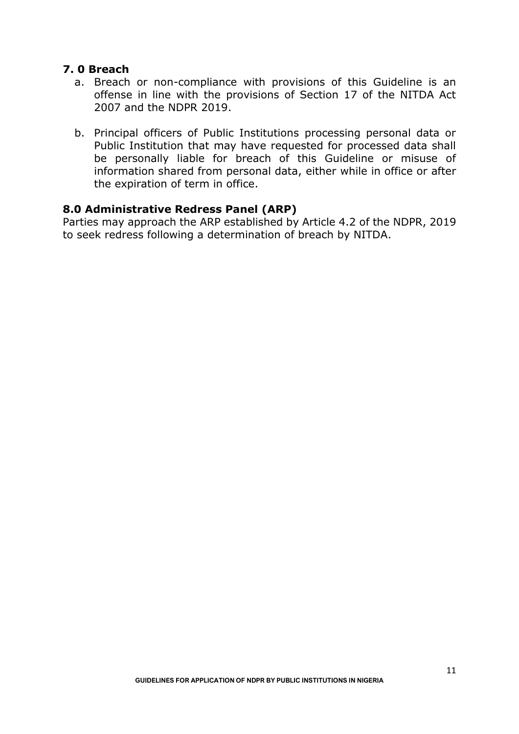#### **7. 0 Breach**

- a. Breach or non-compliance with provisions of this Guideline is an offense in line with the provisions of Section 17 of the NITDA Act 2007 and the NDPR 2019.
- b. Principal officers of Public Institutions processing personal data or Public Institution that may have requested for processed data shall be personally liable for breach of this Guideline or misuse of information shared from personal data, either while in office or after the expiration of term in office.

#### **8.0 Administrative Redress Panel (ARP)**

Parties may approach the ARP established by Article 4.2 of the NDPR, 2019 to seek redress following a determination of breach by NITDA.